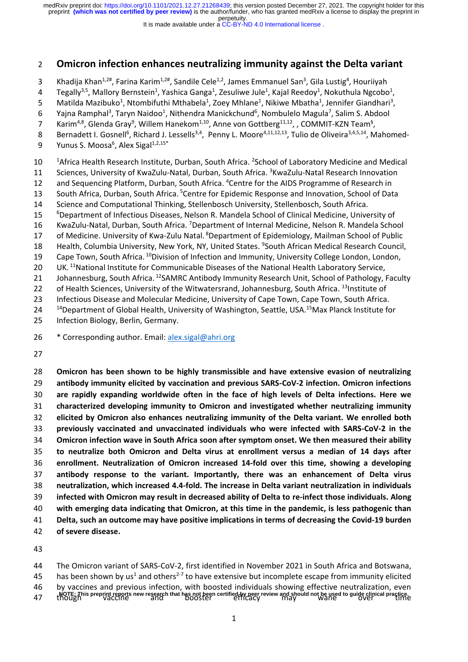It is made available under a CC-BY-ND 4.0 International license.

# 2 **Omicron infection enhances neutralizing immunity against the Delta variant**

3 Khadija Khan<sup>1,2#</sup>, Farina Karim<sup>1,2#</sup>, Sandile Cele<sup>1,2</sup>, James Emmanuel San<sup>3</sup>, Gila Lustig<sup>4</sup>, Houriiyah

4 Tegally<sup>3,5</sup>, Mallory Bernstein<sup>1</sup>, Yashica Ganga<sup>1</sup>, Zesuliwe Jule<sup>1</sup>, Kajal Reedoy<sup>1</sup>, Nokuthula Ngcobo<sup>1</sup>,

5 Matilda Mazibuko<sup>1</sup>, Ntombifuthi Mthabela<sup>1</sup>, Zoey Mhlane<sup>1</sup>, Nikiwe Mbatha<sup>1</sup>, Jennifer Giandhari<sup>3</sup>,

6 Yajna Ramphal<sup>3</sup>, Taryn Naidoo<sup>1</sup>, Nithendra Manickchund<sup>6</sup>, Nombulelo Magula<sup>7</sup>, Salim S. Abdool

7 Karim<sup>4,8</sup>, Glenda Gray<sup>9</sup>, Willem Hanekom<sup>1,10</sup>, Anne von Gottberg<sup>11,12</sup>, , COMMIT-KZN Team<sup>§</sup>,

8 Bernadett I. Gosnell<sup>6</sup>, Richard J. Lessells<sup>3,4</sup>, Penny L. Moore<sup>4,11,12,13</sup>, Tulio de Oliveira<sup>3,4,5,14</sup>, Mahomed-

9 Yunus S. Moosa<sup>6</sup>, Alex Sigal<sup>1,2,15\*</sup>

10 <sup>1</sup>Africa Health Research Institute, Durban, South Africa. <sup>2</sup> School of Laboratory Medicine and Medical

11 Sciences, University of KwaZulu-Natal, Durban, South Africa. <sup>3</sup> KwaZulu-Natal Research Innovation

12 and Sequencing Platform, Durban, South Africa. <sup>4</sup>Centre for the AIDS Programme of Research in

13 South Africa, Durban, South Africa. <sup>5</sup>Centre for Epidemic Response and Innovation, School of Data

14 Science and Computational Thinking, Stellenbosch University, Stellenbosch, South Africa.

<sup>6</sup> Department of Infectious Diseases, Nelson R. Mandela School of Clinical Medicine, University of

16 KwaZulu-Natal, Durban, South Africa. <sup>7</sup> Department of Internal Medicine, Nelson R. Mandela School

17 of Medicine. University of Kwa-Zulu Natal. <sup>8</sup>Department of Epidemiology, Mailman School of Public

18 Health, Columbia University, New York, NY, United States. <sup>9</sup>South African Medical Research Council,

19 Cape Town, South Africa. <sup>10</sup> Division of Infection and Immunity, University College London, London,

20 UK. <sup>11</sup> National Institute for Communicable Diseases of the National Health Laboratory Service,

21 Johannesburg, South Africa. <sup>12</sup> SAMRC Antibody Immunity Research Unit, School of Pathology, Faculty

22 of Health Sciences, University of the Witwatersrand, Johannesburg, South Africa. <sup>13</sup>Institute of

23 Infectious Disease and Molecular Medicine, University of Cape Town, Cape Town, South Africa.

24 <sup>14</sup>Department of Global Health, University of Washington, Seattle, USA.<sup>15</sup>Max Planck Institute for 25 Infection Biology, Berlin, Germany.

26 \* Corresponding author. Email: [alex.sigal@ahri.org](mailto:alex.sigal@ahri.org)

27

 **Omicron has been shown to be highly transmissible and have extensive evasion of neutralizing antibody immunity elicited by vaccination and previous SARS-CoV-2 infection. Omicron infections are rapidly expanding worldwide often in the face of high levels of Delta infections. Here we characterized developing immunity to Omicron and investigated whether neutralizing immunity elicited by Omicron also enhances neutralizing immunity of the Delta variant. We enrolled both previously vaccinated and unvaccinated individuals who were infected with SARS-CoV-2 in the Omicron infection wave in South Africa soon after symptom onset. We then measured their ability to neutralize both Omicron and Delta virus at enrollment versus a median of 14 days after enrollment. Neutralization of Omicron increased 14-fold over this time, showing a developing antibody response to the variant. Importantly, there was an enhancement of Delta virus neutralization, which increased 4.4-fold. The increase in Delta variant neutralization in individuals infected with Omicron may result in decreased ability of Delta to re-infect those individuals. Along with emerging data indicating that Omicron, at this time in the pandemic, is less pathogenic than Delta, such an outcome may have positive implications in terms of decreasing the Covid-19 burden of severe disease.**

43

44 The Omicron variant of SARS-CoV-2, first identified in November 2021 in South Africa and Botswana, 45 has been shown by us<sup>1</sup> and others<sup>2-7</sup> to have extensive but incomplete escape from immunity elicited 46 by vaccines and previous infection, with boosted individuals showing effective neutralization, even **NOTE: This preprint reports new research that has not been certified by peer review and should not be used to guide clinical practice.<br>Though vaccine and booster efficacy may wane over over**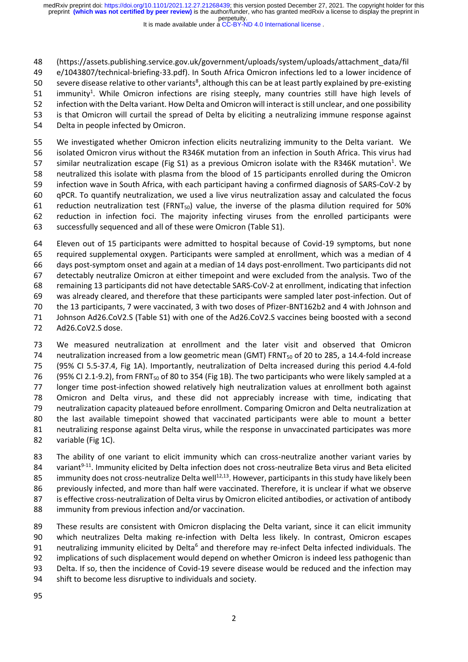It is made available under a CC-BY-ND 4.0 International license.

 (https://assets.publishing.service.gov.uk/government/uploads/system/uploads/attachment\_data/fil e/1043807/technical-briefing-33.pdf). In South Africa Omicron infections led to a lower incidence of 50 severe disease relative to other variants<sup>8</sup>, although this can be at least partly explained by pre-existing 51 immunity<sup>1</sup>. While Omicron infections are rising steeply, many countries still have high levels of infection with the Delta variant. How Delta and Omicron will interact is still unclear, and one possibility is that Omicron will curtail the spread of Delta by eliciting a neutralizing immune response against Delta in people infected by Omicron.

 We investigated whether Omicron infection elicits neutralizing immunity to the Delta variant. We isolated Omicron virus without the R346K mutation from an infection in South Africa. This virus had 57 similar neutralization escape (Fig S1) as a previous Omicron isolate with the R346K mutation<sup>1</sup>. We neutralized this isolate with plasma from the blood of 15 participants enrolled during the Omicron infection wave in South Africa, with each participant having a confirmed diagnosis of SARS-CoV-2 by qPCR. To quantify neutralization, we used a live virus neutralization assay and calculated the focus 61 reduction neutralization test (FRNT<sub>50</sub>) value, the inverse of the plasma dilution required for 50% reduction in infection foci. The majority infecting viruses from the enrolled participants were successfully sequenced and all of these were Omicron (Table S1).

 Eleven out of 15 participants were admitted to hospital because of Covid-19 symptoms, but none required supplemental oxygen. Participants were sampled at enrollment, which was a median of 4 days post-symptom onset and again at a median of 14 days post-enrollment. Two participants did not detectably neutralize Omicron at either timepoint and were excluded from the analysis. Two of the remaining 13 participants did not have detectable SARS-CoV-2 at enrollment, indicating that infection was already cleared, and therefore that these participants were sampled later post-infection. Out of the 13 participants, 7 were vaccinated, 3 with two doses of Pfizer-BNT162b2 and 4 with Johnson and Johnson Ad26.CoV2.S (Table S1) with one of the Ad26.CoV2.S vaccines being boosted with a second Ad26.CoV2.S dose.

 We measured neutralization at enrollment and the later visit and observed that Omicron 74 neutralization increased from a low geometric mean (GMT) FRNT<sub>50</sub> of 20 to 285, a 14.4-fold increase (95% CI 5.5-37.4, Fig 1A). Importantly, neutralization of Delta increased during this period 4.4-fold 76 (95% CI 2.1-9.2), from FRNT<sub>50</sub> of 80 to 354 (Fig 1B). The two participants who were likely sampled at a longer time post-infection showed relatively high neutralization values at enrollment both against Omicron and Delta virus, and these did not appreciably increase with time, indicating that neutralization capacity plateaued before enrollment. Comparing Omicron and Delta neutralization at the last available timepoint showed that vaccinated participants were able to mount a better neutralizing response against Delta virus, while the response in unvaccinated participates was more variable (Fig 1C).

83 The ability of one variant to elicit immunity which can cross-neutralize another variant varies by 84 variant<sup>9-11</sup>. Immunity elicited by Delta infection does not cross-neutralize Beta virus and Beta elicited 85 immunity does not cross-neutralize Delta well<sup>12,13</sup>. However, participants in this study have likely been previously infected, and more than half were vaccinated. Therefore, it is unclear if what we observe is effective cross-neutralization of Delta virus by Omicron elicited antibodies, or activation of antibody immunity from previous infection and/or vaccination.

 These results are consistent with Omicron displacing the Delta variant, since it can elicit immunity which neutralizes Delta making re-infection with Delta less likely. In contrast, Omicron escapes 91 neutralizing immunity elicited by Delta<sup>6</sup> and therefore may re-infect Delta infected individuals. The implications of such displacement would depend on whether Omicron is indeed less pathogenic than Delta. If so, then the incidence of Covid-19 severe disease would be reduced and the infection may shift to become less disruptive to individuals and society.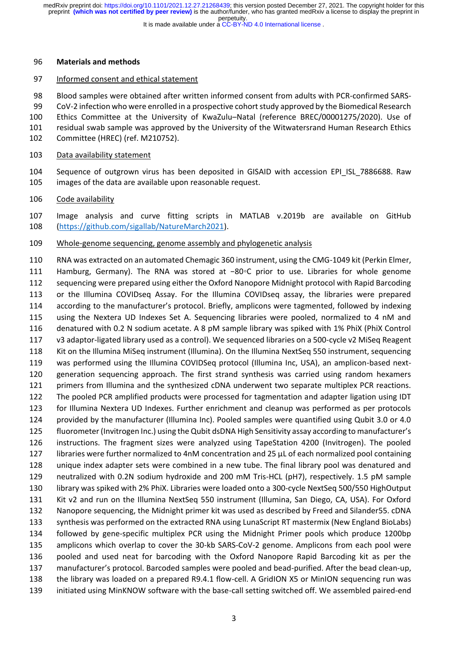It is made available under a CC-BY-ND 4.0 International license.

### **Materials and methods**

### Informed consent and ethical statement

Blood samples were obtained after written informed consent from adults with PCR-confirmed SARS-

CoV-2 infection who were enrolled in a prospective cohort study approved by the Biomedical Research

 Ethics Committee at the University of KwaZulu–Natal (reference BREC/00001275/2020). Use of residual swab sample was approved by the University of the Witwatersrand Human Research Ethics

- Committee (HREC) (ref. M210752).
- Data availability statement

 Sequence of outgrown virus has been deposited in GISAID with accession EPI\_ISL\_7886688. Raw images of the data are available upon reasonable request.

Code availability

 Image analysis and curve fitting scripts in MATLAB v.2019b are available on GitHub [\(https://github.com/sigallab/NatureMarch2021\)](https://github.com/sigallab/NatureMarch2021).

Whole-genome sequencing, genome assembly and phylogenetic analysis

 RNA was extracted on an automated Chemagic 360 instrument, using the CMG-1049 kit (Perkin Elmer, Hamburg, Germany). The RNA was stored at −80◦C prior to use. Libraries for whole genome sequencing were prepared using either the Oxford Nanopore Midnight protocol with Rapid Barcoding or the Illumina COVIDseq Assay. For the Illumina COVIDseq assay, the libraries were prepared according to the manufacturer's protocol. Briefly, amplicons were tagmented, followed by indexing using the Nextera UD Indexes Set A. Sequencing libraries were pooled, normalized to 4 nM and denatured with 0.2 N sodium acetate. A 8 pM sample library was spiked with 1% PhiX (PhiX Control v3 adaptor-ligated library used as a control). We sequenced libraries on a 500-cycle v2 MiSeq Reagent Kit on the Illumina MiSeq instrument (Illumina). On the Illumina NextSeq 550 instrument, sequencing was performed using the Illumina COVIDSeq protocol (Illumina Inc, USA), an amplicon-based next- generation sequencing approach. The first strand synthesis was carried using random hexamers primers from Illumina and the synthesized cDNA underwent two separate multiplex PCR reactions. The pooled PCR amplified products were processed for tagmentation and adapter ligation using IDT for Illumina Nextera UD Indexes. Further enrichment and cleanup was performed as per protocols provided by the manufacturer (Illumina Inc). Pooled samples were quantified using Qubit 3.0 or 4.0 fluorometer (Invitrogen Inc.) using the Qubit dsDNA High Sensitivity assay according to manufacturer's instructions. The fragment sizes were analyzed using TapeStation 4200 (Invitrogen). The pooled libraries were further normalized to 4nM concentration and 25 μL of each normalized pool containing unique index adapter sets were combined in a new tube. The final library pool was denatured and neutralized with 0.2N sodium hydroxide and 200 mM Tris-HCL (pH7), respectively. 1.5 pM sample library was spiked with 2% PhiX. Libraries were loaded onto a 300-cycle NextSeq 500/550 HighOutput Kit v2 and run on the Illumina NextSeq 550 instrument (Illumina, San Diego, CA, USA). For Oxford Nanopore sequencing, the Midnight primer kit was used as described by Freed and Silander55. cDNA synthesis was performed on the extracted RNA using LunaScript RT mastermix (New England BioLabs) followed by gene-specific multiplex PCR using the Midnight Primer pools which produce 1200bp amplicons which overlap to cover the 30-kb SARS-CoV-2 genome. Amplicons from each pool were pooled and used neat for barcoding with the Oxford Nanopore Rapid Barcoding kit as per the manufacturer's protocol. Barcoded samples were pooled and bead-purified. After the bead clean-up, the library was loaded on a prepared R9.4.1 flow-cell. A GridION X5 or MinION sequencing run was initiated using MinKNOW software with the base-call setting switched off. We assembled paired-end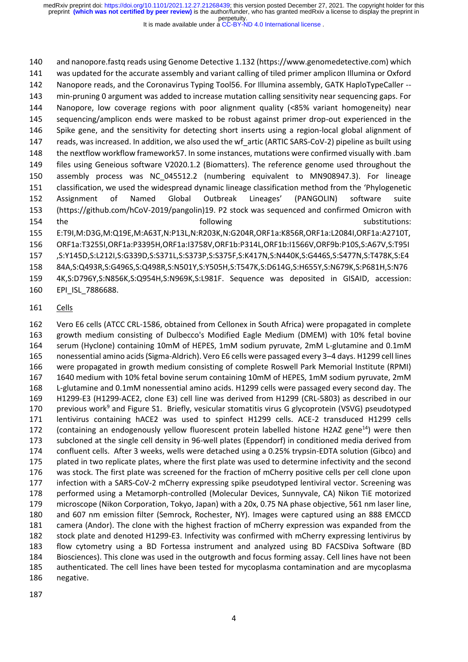It is made available under a CC-BY-ND 4.0 International license.

 and nanopore.fastq reads using Genome Detective 1.132 (https://www.genomedetective.com) which was updated for the accurate assembly and variant calling of tiled primer amplicon Illumina or Oxford Nanopore reads, and the Coronavirus Typing Tool56. For Illumina assembly, GATK HaploTypeCaller -- min-pruning 0 argument was added to increase mutation calling sensitivity near sequencing gaps. For Nanopore, low coverage regions with poor alignment quality (<85% variant homogeneity) near sequencing/amplicon ends were masked to be robust against primer drop-out experienced in the Spike gene, and the sensitivity for detecting short inserts using a region-local global alignment of 147 reads, was increased. In addition, we also used the wf artic (ARTIC SARS-CoV-2) pipeline as built using the nextflow workflow framework57. In some instances, mutations were confirmed visually with .bam files using Geneious software V2020.1.2 (Biomatters). The reference genome used throughout the assembly process was NC\_045512.2 (numbering equivalent to MN908947.3). For lineage classification, we used the widespread dynamic lineage classification method from the 'Phylogenetic Assignment of Named Global Outbreak Lineages' (PANGOLIN) software suite (https://github.com/hCoV-2019/pangolin)19. P2 stock was sequenced and confirmed Omicron with 154 the following substitutions: E:T9I,M:D3G,M:Q19E,M:A63T,N:P13L,N:R203K,N:G204R,ORF1a:K856R,ORF1a:L2084I,ORF1a:A2710T,

ORF1a:T3255I,ORF1a:P3395H,ORF1a:I3758V,ORF1b:P314L,ORF1b:I1566V,ORF9b:P10S,S:A67V,S:T95I

,S:Y145D,S:L212I,S:G339D,S:S371L,S:S373P,S:S375F,S:K417N,S:N440K,S:G446S,S:S477N,S:T478K,S:E4

84A,S:Q493R,S:G496S,S:Q498R,S:N501Y,S:Y505H,S:T547K,S:D614G,S:H655Y,S:N679K,S:P681H,S:N76

4K,S:D796Y,S:N856K,S:Q954H,S:N969K,S:L981F. Sequence was deposited in GISAID, accession:

EPI\_ISL\_7886688.

# Cells

 Vero E6 cells (ATCC CRL-1586, obtained from Cellonex in South Africa) were propagated in complete growth medium consisting of Dulbecco's Modified Eagle Medium (DMEM) with 10% fetal bovine serum (Hyclone) containing 10mM of HEPES, 1mM sodium pyruvate, 2mM L-glutamine and 0.1mM nonessential amino acids (Sigma-Aldrich). Vero E6 cells were passaged every 3–4 days. H1299 cell lines were propagated in growth medium consisting of complete Roswell Park Memorial Institute (RPMI) 1640 medium with 10% fetal bovine serum containing 10mM of HEPES, 1mM sodium pyruvate, 2mM L-glutamine and 0.1mM nonessential amino acids. H1299 cells were passaged every second day. The H1299-E3 (H1299-ACE2, clone E3) cell line was derived from H1299 (CRL-5803) as described in our 170 previous work<sup>9</sup> and Figure S1. Briefly, vesicular stomatitis virus G glycoprotein (VSVG) pseudotyped lentivirus containing hACE2 was used to spinfect H1299 cells. ACE-2 transduced H1299 cells 172 (containing an endogenously yellow fluorescent protein labelled histone H2AZ gene<sup>14</sup>) were then subcloned at the single cell density in 96-well plates (Eppendorf) in conditioned media derived from confluent cells. After 3 weeks, wells were detached using a 0.25% trypsin-EDTA solution (Gibco) and plated in two replicate plates, where the first plate was used to determine infectivity and the second was stock. The first plate was screened for the fraction of mCherry positive cells per cell clone upon infection with a SARS-CoV-2 mCherry expressing spike pseudotyped lentiviral vector. Screening was performed using a Metamorph-controlled (Molecular Devices, Sunnyvale, CA) Nikon TiE motorized microscope (Nikon Corporation, Tokyo, Japan) with a 20x, 0.75 NA phase objective, 561 nm laser line, and 607 nm emission filter (Semrock, Rochester, NY). Images were captured using an 888 EMCCD camera (Andor). The clone with the highest fraction of mCherry expression was expanded from the stock plate and denoted H1299-E3. Infectivity was confirmed with mCherry expressing lentivirus by flow cytometry using a BD Fortessa instrument and analyzed using BD FACSDiva Software (BD Biosciences). This clone was used in the outgrowth and focus forming assay. Cell lines have not been authenticated. The cell lines have been tested for mycoplasma contamination and are mycoplasma negative.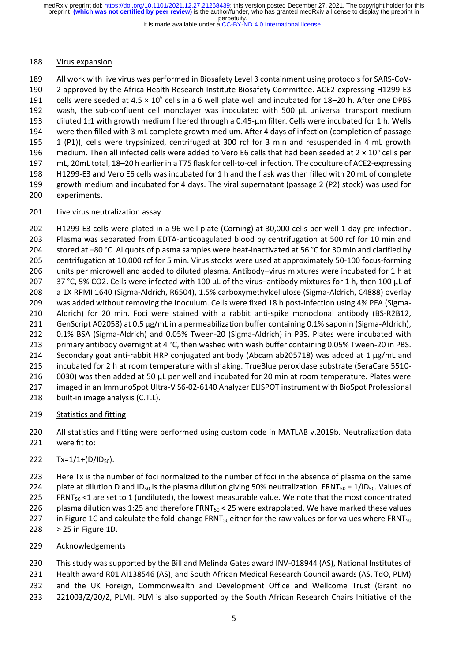It is made available under a CC-BY-ND 4.0 International license.

## Virus expansion

 All work with live virus was performed in Biosafety Level 3 containment using protocols for SARS-CoV- 2 approved by the Africa Health Research Institute Biosafety Committee. ACE2-expressing H1299-E3 191 cells were seeded at  $4.5 \times 10^5$  cells in a 6 well plate well and incubated for 18–20 h. After one DPBS wash, the sub-confluent cell monolayer was inoculated with 500 μL universal transport medium 193 diluted 1:1 with growth medium filtered through a 0.45-um filter. Cells were incubated for 1 h. Wells were then filled with 3 mL complete growth medium. After 4 days of infection (completion of passage 1 (P1)), cells were trypsinized, centrifuged at 300 rcf for 3 min and resuspended in 4 mL growth 196 medium. Then all infected cells were added to Vero E6 cells that had been seeded at  $2 \times 10^5$  cells per mL, 20mL total, 18–20 h earlier in a T75 flask for cell-to-cell infection. The coculture of ACE2-expressing H1299-E3 and Vero E6 cells was incubated for 1 h and the flask was then filled with 20 mL of complete growth medium and incubated for 4 days. The viral supernatant (passage 2 (P2) stock) was used for experiments.

# Live virus neutralization assay

 H1299-E3 cells were plated in a 96-well plate (Corning) at 30,000 cells per well 1 day pre-infection. Plasma was separated from EDTA-anticoagulated blood by centrifugation at 500 rcf for 10 min and stored at −80 °C. Aliquots of plasma samples were heat-inactivated at 56 °C for 30 min and clarified by centrifugation at 10,000 rcf for 5 min. Virus stocks were used at approximately 50-100 focus-forming units per microwell and added to diluted plasma. Antibody–virus mixtures were incubated for 1 h at 37 °C, 5% CO2. Cells were infected with 100 μL of the virus–antibody mixtures for 1 h, then 100 μL of a 1X RPMI 1640 (Sigma-Aldrich, R6504), 1.5% carboxymethylcellulose (Sigma-Aldrich, C4888) overlay was added without removing the inoculum. Cells were fixed 18 h post-infection using 4% PFA (Sigma- Aldrich) for 20 min. Foci were stained with a rabbit anti-spike monoclonal antibody (BS-R2B12, GenScript A02058) at 0.5 μg/mL in a permeabilization buffer containing 0.1% saponin (Sigma-Aldrich), 0.1% BSA (Sigma-Aldrich) and 0.05% Tween-20 (Sigma-Aldrich) in PBS. Plates were incubated with 213 primary antibody overnight at 4 °C, then washed with wash buffer containing 0.05% Tween-20 in PBS. Secondary goat anti-rabbit HRP conjugated antibody (Abcam ab205718) was added at 1 μg/mL and incubated for 2 h at room temperature with shaking. TrueBlue peroxidase substrate (SeraCare 5510- 0030) was then added at 50 μL per well and incubated for 20 min at room temperature. Plates were imaged in an ImmunoSpot Ultra-V S6-02-6140 Analyzer ELISPOT instrument with BioSpot Professional built-in image analysis (C.T.L).

# Statistics and fitting

 All statistics and fitting were performed using custom code in MATLAB v.2019b. Neutralization data were fit to:

222  $Tx=1/1+(D/1D_{50})$ .

 Here Tx is the number of foci normalized to the number of foci in the absence of plasma on the same 224 plate at dilution D and ID<sub>50</sub> is the plasma dilution giving 50% neutralization. FRNT<sub>50</sub> = 1/ID<sub>50</sub>. Values of 225 FRNT<sub>50</sub> <1 are set to 1 (undiluted), the lowest measurable value. We note that the most concentrated 226 plasma dilution was 1:25 and therefore FRNT $_{50}$  < 25 were extrapolated. We have marked these values 227 in Figure 1C and calculate the fold-change FRNT $_{50}$  either for the raw values or for values where FRNT $_{50}$ > 25 in Figure 1D.

Acknowledgements

 This study was supported by the Bill and Melinda Gates award INV-018944 (AS), National Institutes of Health award R01 AI138546 (AS), and South African Medical Research Council awards (AS, TdO, PLM) and the UK Foreign, Commonwealth and Development Office and Wellcome Trust (Grant no 221003/Z/20/Z, PLM). PLM is also supported by the South African Research Chairs Initiative of the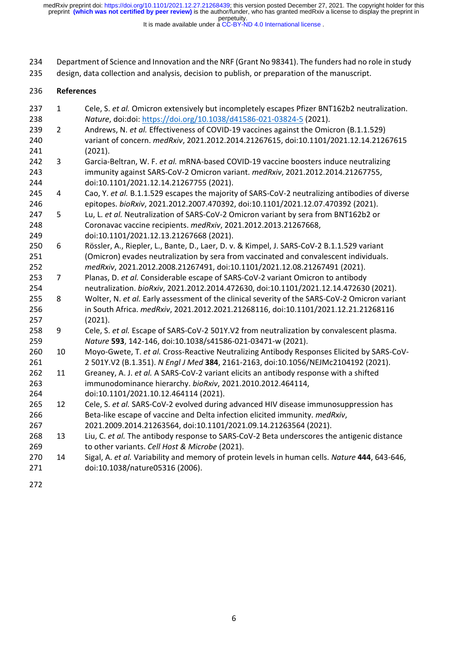It is made available under a CC-BY-ND 4.0 International license.

- Department of Science and Innovation and the NRF (Grant No 98341). The funders had no role in study
- design, data collection and analysis, decision to publish, or preparation of the manuscript.

# **References**

- 1 Cele, S. *et al.* Omicron extensively but incompletely escapes Pfizer BNT162b2 neutralization. *Nature*, doi:doi:<https://doi.org/10.1038/d41586-021-03824-5> (2021).
- 2 Andrews, N. *et al.* Effectiveness of COVID-19 vaccines against the Omicron (B.1.1.529) variant of concern. *medRxiv*, 2021.2012.2014.21267615, doi:10.1101/2021.12.14.21267615 (2021).
- 3 Garcia-Beltran, W. F. *et al.* mRNA-based COVID-19 vaccine boosters induce neutralizing immunity against SARS-CoV-2 Omicron variant. *medRxiv*, 2021.2012.2014.21267755, doi:10.1101/2021.12.14.21267755 (2021).
- 4 Cao, Y. *et al.* B.1.1.529 escapes the majority of SARS-CoV-2 neutralizing antibodies of diverse epitopes. *bioRxiv*, 2021.2012.2007.470392, doi:10.1101/2021.12.07.470392 (2021).
- 5 Lu, L. *et al.* Neutralization of SARS-CoV-2 Omicron variant by sera from BNT162b2 or Coronavac vaccine recipients. *medRxiv*, 2021.2012.2013.21267668, doi:10.1101/2021.12.13.21267668 (2021).
- 6 Rössler, A., Riepler, L., Bante, D., Laer, D. v. & Kimpel, J. SARS-CoV-2 B.1.1.529 variant (Omicron) evades neutralization by sera from vaccinated and convalescent individuals. *medRxiv*, 2021.2012.2008.21267491, doi:10.1101/2021.12.08.21267491 (2021).
- 7 Planas, D. *et al.* Considerable escape of SARS-CoV-2 variant Omicron to antibody neutralization. *bioRxiv*, 2021.2012.2014.472630, doi:10.1101/2021.12.14.472630 (2021).
- 8 Wolter, N. *et al.* Early assessment of the clinical severity of the SARS-CoV-2 Omicron variant in South Africa. *medRxiv*, 2021.2012.2021.21268116, doi:10.1101/2021.12.21.21268116 (2021).
- 9 Cele, S. *et al.* Escape of SARS-CoV-2 501Y.V2 from neutralization by convalescent plasma. *Nature* **593**, 142-146, doi:10.1038/s41586-021-03471-w (2021).
- 10 Moyo-Gwete, T. *et al.* Cross-Reactive Neutralizing Antibody Responses Elicited by SARS-CoV-2 501Y.V2 (B.1.351). *N Engl J Med* **384**, 2161-2163, doi:10.1056/NEJMc2104192 (2021).
- 11 Greaney, A. J. *et al.* A SARS-CoV-2 variant elicits an antibody response with a shifted immunodominance hierarchy. *bioRxiv*, 2021.2010.2012.464114, doi:10.1101/2021.10.12.464114 (2021).
- 12 Cele, S. *et al.* SARS-CoV-2 evolved during advanced HIV disease immunosuppression has Beta-like escape of vaccine and Delta infection elicited immunity. *medRxiv*,
- 2021.2009.2014.21263564, doi:10.1101/2021.09.14.21263564 (2021).
- 13 Liu, C. *et al.* The antibody response to SARS-CoV-2 Beta underscores the antigenic distance to other variants. *Cell Host & Microbe* (2021).
- 14 Sigal, A. *et al.* Variability and memory of protein levels in human cells. *Nature* **444**, 643-646, doi:10.1038/nature05316 (2006).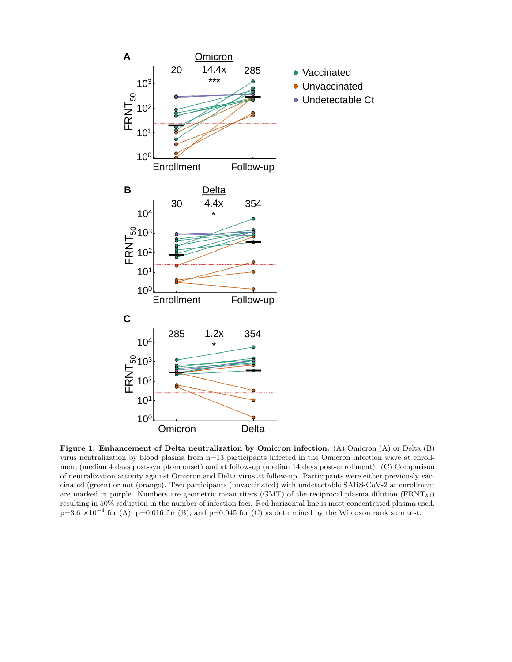

Figure 1: Enhancement of Delta neutralization by Omicron infection. (A) Omicron (A) or Delta (B) virus neutralization by blood plasma from n=13 participants infected in the Omicron infection wave at enrollment (median 4 days post-symptom onset) and at follow-up (median 14 days post-enrollment). (C) Comparison of neutralization activity against Omicron and Delta virus at follow-up. Participants were either previously vaccinated (green) or not (orange). Two participants (unvaccinated) with undetectable SARS-CoV-2 at enrollment are marked in purple. Numbers are geometric mean titers (GMT) of the reciprocal plasma dilution (FRNT50) resulting in 50% reduction in the number of infection foci. Red horizontal line is most concentrated plasma used.  $p=3.6 \times 10^{-4}$  for (A),  $p=0.016$  for (B), and  $p=0.045$  for (C) as determined by the Wilcoxon rank sum test.